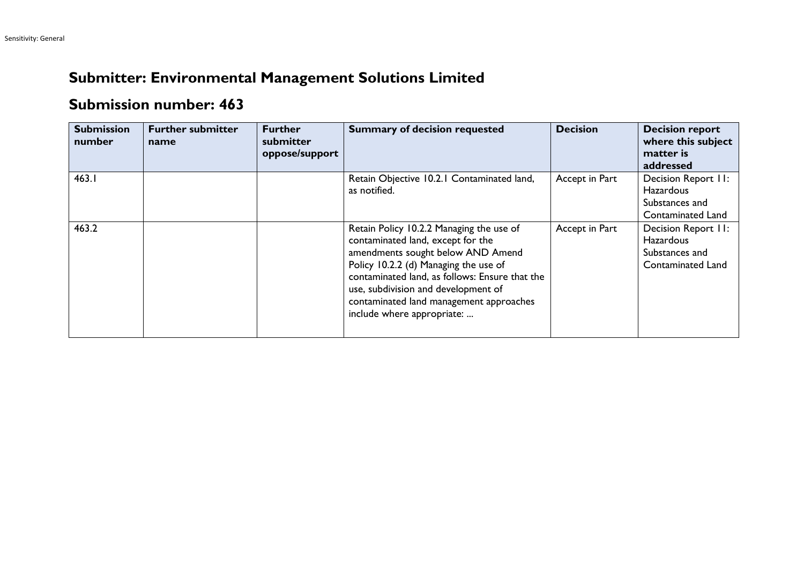## **Submitter: Environmental Management Solutions Limited**

## **Submission number: 463**

| <b>Submission</b><br>number | <b>Further submitter</b><br>name | <b>Further</b><br>submitter<br>oppose/support | <b>Summary of decision requested</b>                                                                                                                                                                                                                                                                                          | <b>Decision</b> | <b>Decision report</b><br>where this subject<br>matter is<br>addressed         |
|-----------------------------|----------------------------------|-----------------------------------------------|-------------------------------------------------------------------------------------------------------------------------------------------------------------------------------------------------------------------------------------------------------------------------------------------------------------------------------|-----------------|--------------------------------------------------------------------------------|
| 463.1                       |                                  |                                               | Retain Objective 10.2.1 Contaminated land,<br>as notified.                                                                                                                                                                                                                                                                    | Accept in Part  | Decision Report II:<br>Hazardous<br>Substances and<br><b>Contaminated Land</b> |
| 463.2                       |                                  |                                               | Retain Policy 10.2.2 Managing the use of<br>contaminated land, except for the<br>amendments sought below AND Amend<br>Policy 10.2.2 (d) Managing the use of<br>contaminated land, as follows: Ensure that the<br>use, subdivision and development of<br>contaminated land management approaches<br>include where appropriate: | Accept in Part  | Decision Report II:<br><b>Hazardous</b><br>Substances and<br>Contaminated Land |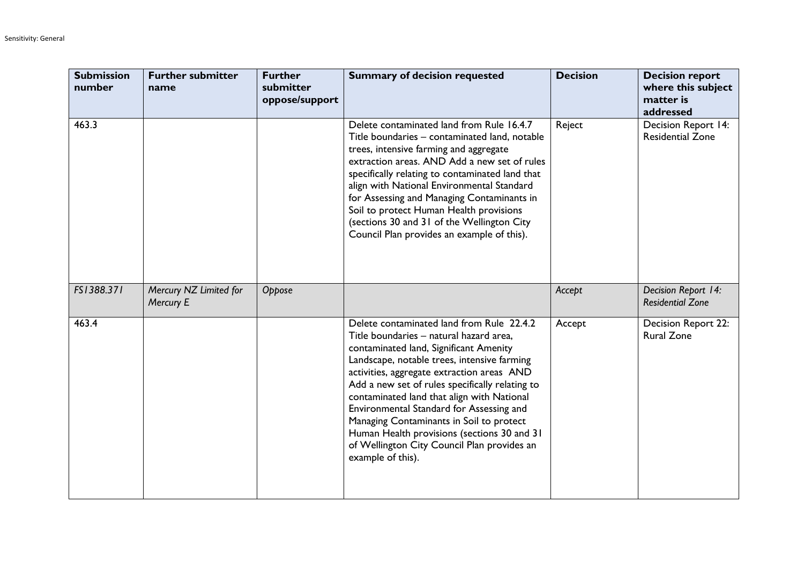| <b>Submission</b><br>number | <b>Further submitter</b><br>name    | <b>Further</b><br>submitter<br>oppose/support | <b>Summary of decision requested</b>                                                                                                                                                                                                                                                                                                                                                                                                                                                                                                    | <b>Decision</b> | <b>Decision report</b><br>where this subject<br>matter is<br>addressed |
|-----------------------------|-------------------------------------|-----------------------------------------------|-----------------------------------------------------------------------------------------------------------------------------------------------------------------------------------------------------------------------------------------------------------------------------------------------------------------------------------------------------------------------------------------------------------------------------------------------------------------------------------------------------------------------------------------|-----------------|------------------------------------------------------------------------|
| 463.3                       |                                     |                                               | Delete contaminated land from Rule 16.4.7<br>Title boundaries - contaminated land, notable<br>trees, intensive farming and aggregate<br>extraction areas. AND Add a new set of rules<br>specifically relating to contaminated land that<br>align with National Environmental Standard<br>for Assessing and Managing Contaminants in<br>Soil to protect Human Health provisions<br>(sections 30 and 31 of the Wellington City<br>Council Plan provides an example of this).                                                              | Reject          | Decision Report 14:<br><b>Residential Zone</b>                         |
| FS1388.371                  | Mercury NZ Limited for<br>Mercury E | Oppose                                        |                                                                                                                                                                                                                                                                                                                                                                                                                                                                                                                                         | Accept          | Decision Report 14:<br><b>Residential Zone</b>                         |
| 463.4                       |                                     |                                               | Delete contaminated land from Rule 22.4.2<br>Title boundaries - natural hazard area,<br>contaminated land, Significant Amenity<br>Landscape, notable trees, intensive farming<br>activities, aggregate extraction areas AND<br>Add a new set of rules specifically relating to<br>contaminated land that align with National<br>Environmental Standard for Assessing and<br>Managing Contaminants in Soil to protect<br>Human Health provisions (sections 30 and 31<br>of Wellington City Council Plan provides an<br>example of this). | Accept          | Decision Report 22:<br><b>Rural Zone</b>                               |